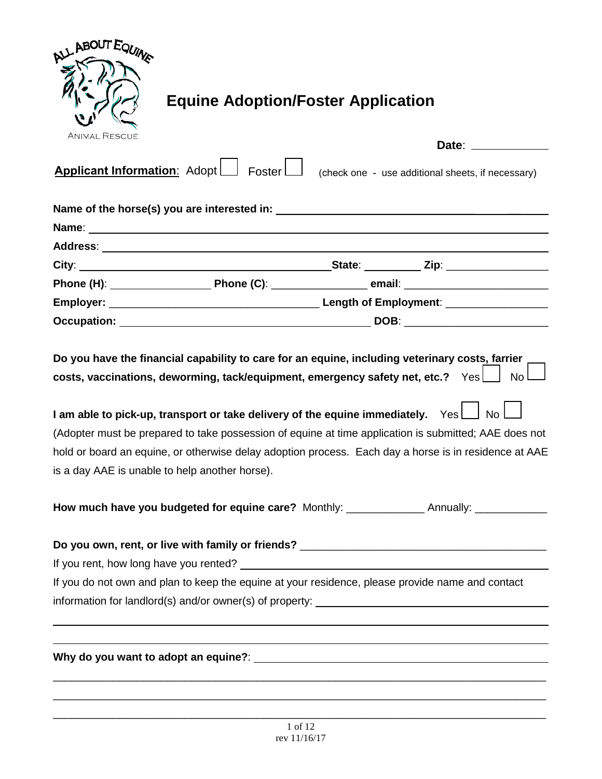

# **Equine Adoption/Foster Application**

| <b>ANIMAL RESCUE</b> |                                                                                                                                                                                    |  | Date: _____________                                                                                   |  |
|----------------------|------------------------------------------------------------------------------------------------------------------------------------------------------------------------------------|--|-------------------------------------------------------------------------------------------------------|--|
|                      | Applicant Information: Adopt   Foster                                                                                                                                              |  | (check one - use additional sheets, if necessary)                                                     |  |
|                      |                                                                                                                                                                                    |  |                                                                                                       |  |
|                      |                                                                                                                                                                                    |  |                                                                                                       |  |
|                      |                                                                                                                                                                                    |  |                                                                                                       |  |
|                      |                                                                                                                                                                                    |  |                                                                                                       |  |
|                      |                                                                                                                                                                                    |  |                                                                                                       |  |
|                      |                                                                                                                                                                                    |  |                                                                                                       |  |
|                      |                                                                                                                                                                                    |  |                                                                                                       |  |
|                      | Do you have the financial capability to care for an equine, including veterinary costs, farrier<br>costs, vaccinations, deworming, tack/equipment, emergency safety net, etc.? Yes |  | <b>No</b>                                                                                             |  |
|                      | I am able to pick-up, transport or take delivery of the equine immediately. Yes $\Box$ No $\Box$                                                                                   |  |                                                                                                       |  |
|                      |                                                                                                                                                                                    |  | (Adopter must be prepared to take possession of equine at time application is submitted; AAE does not |  |
|                      |                                                                                                                                                                                    |  | hold or board an equine, or otherwise delay adoption process. Each day a horse is in residence at AAE |  |
|                      | is a day AAE is unable to help another horse).                                                                                                                                     |  |                                                                                                       |  |
|                      |                                                                                                                                                                                    |  |                                                                                                       |  |
|                      |                                                                                                                                                                                    |  |                                                                                                       |  |
|                      |                                                                                                                                                                                    |  |                                                                                                       |  |
|                      | If you do not own and plan to keep the equine at your residence, please provide name and contact                                                                                   |  |                                                                                                       |  |
|                      |                                                                                                                                                                                    |  |                                                                                                       |  |
|                      |                                                                                                                                                                                    |  |                                                                                                       |  |
|                      |                                                                                                                                                                                    |  |                                                                                                       |  |
|                      |                                                                                                                                                                                    |  |                                                                                                       |  |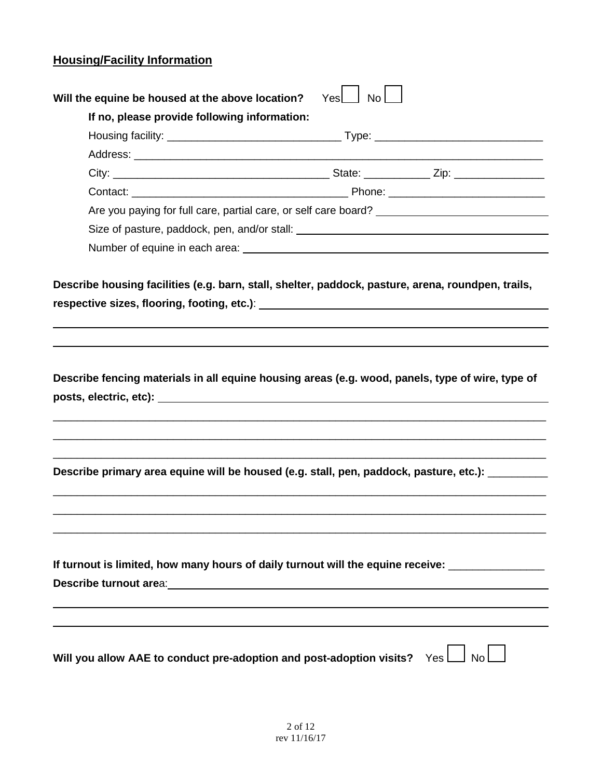### **Housing/Facility Information**

| Will the equine be housed at the above location?                                                                                                                                                                               | Yesl I<br><b>No</b>                                                                                |
|--------------------------------------------------------------------------------------------------------------------------------------------------------------------------------------------------------------------------------|----------------------------------------------------------------------------------------------------|
| If no, please provide following information:                                                                                                                                                                                   |                                                                                                    |
|                                                                                                                                                                                                                                |                                                                                                    |
|                                                                                                                                                                                                                                |                                                                                                    |
|                                                                                                                                                                                                                                |                                                                                                    |
|                                                                                                                                                                                                                                |                                                                                                    |
|                                                                                                                                                                                                                                |                                                                                                    |
|                                                                                                                                                                                                                                |                                                                                                    |
|                                                                                                                                                                                                                                |                                                                                                    |
|                                                                                                                                                                                                                                |                                                                                                    |
|                                                                                                                                                                                                                                |                                                                                                    |
|                                                                                                                                                                                                                                | Describe primary area equine will be housed (e.g. stall, pen, paddock, pasture, etc.): _________   |
| Describe turnout area: expression and the contract of the contract of the contract of the contract of the contract of the contract of the contract of the contract of the contract of the contract of the contract of the cont | If turnout is limited, how many hours of daily turnout will the equine receive: __________________ |
|                                                                                                                                                                                                                                |                                                                                                    |
|                                                                                                                                                                                                                                | Will you allow AAE to conduct pre-adoption and post-adoption visits? Yes $\Box$ No $\Box$          |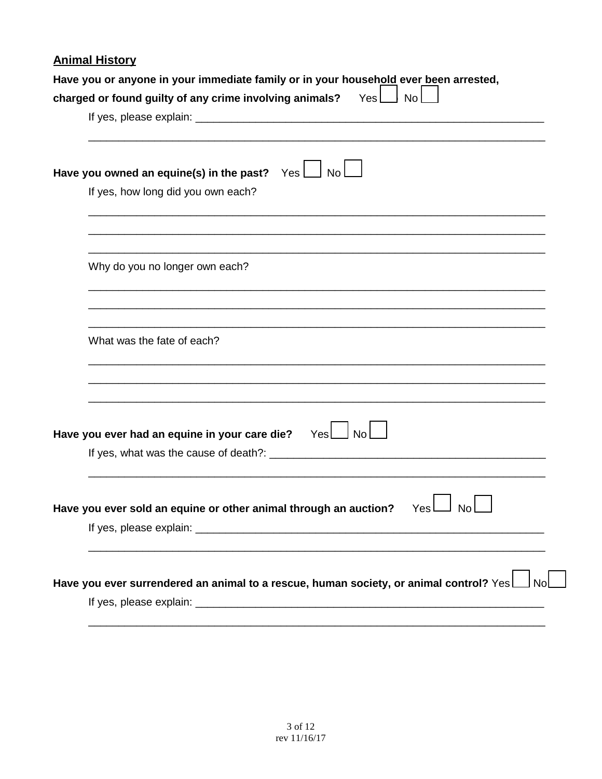## **Animal History**

| $N_0$ $\Box$<br>Have you owned an equine(s) in the past? $Yes$                                  |
|-------------------------------------------------------------------------------------------------|
| If yes, how long did you own each?                                                              |
| Why do you no longer own each?                                                                  |
| What was the fate of each?                                                                      |
|                                                                                                 |
| <b>No</b><br>Have you ever had an equine in your care die?<br>Yes                               |
| Have you ever sold an equine or other animal through an auction?<br>Yes<br>No                   |
| Have you ever surrendered an animal to a rescue, human society, or animal control? Yes<br>l Nol |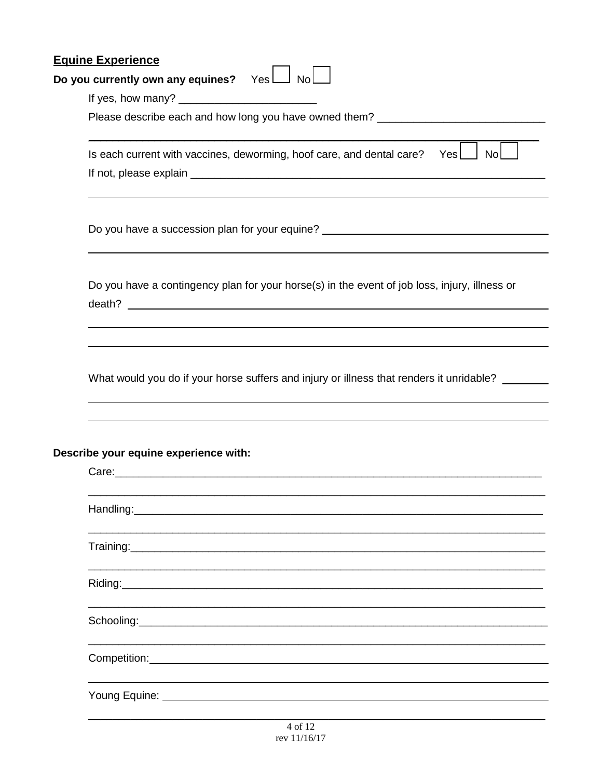|           | <b>Equine Experience</b>                                                                      |
|-----------|-----------------------------------------------------------------------------------------------|
|           | Do you currently own any equines? Yes $\Box$ No $\Box$                                        |
|           |                                                                                               |
|           | Please describe each and how long you have owned them? __________________________             |
|           |                                                                                               |
|           | Is each current with vaccines, deworming, hoof care, and dental care? Yes   No                |
|           |                                                                                               |
|           | Do you have a succession plan for your equine? _________________________________              |
|           |                                                                                               |
|           | Do you have a contingency plan for your horse(s) in the event of job loss, injury, illness or |
|           |                                                                                               |
|           |                                                                                               |
|           | What would you do if your horse suffers and injury or illness that renders it unridable?      |
|           | Describe your equine experience with:                                                         |
| Handling: |                                                                                               |
|           |                                                                                               |
|           |                                                                                               |
|           |                                                                                               |
|           | Competition: Competition:                                                                     |
|           |                                                                                               |
|           |                                                                                               |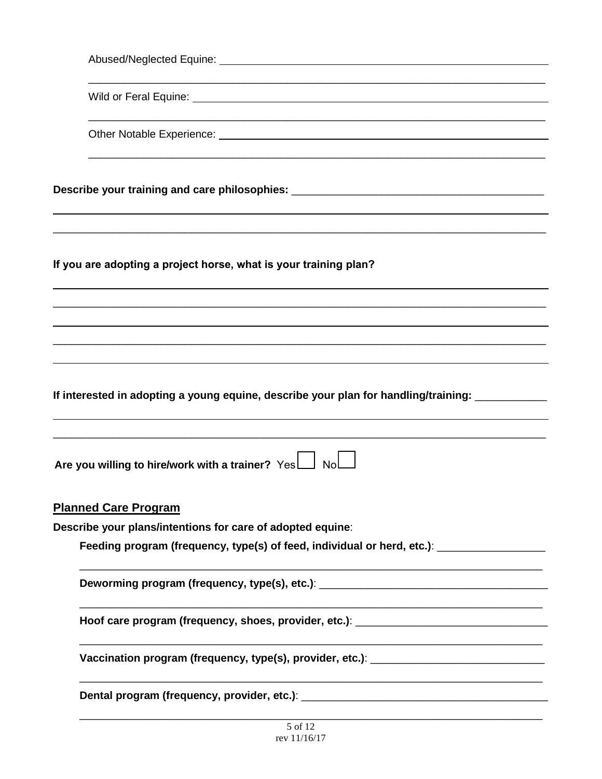|                             | Describe your training and care philosophies: __________________________________               |
|-----------------------------|------------------------------------------------------------------------------------------------|
|                             | If you are adopting a project horse, what is your training plan?                               |
|                             |                                                                                                |
|                             |                                                                                                |
|                             |                                                                                                |
|                             | If interested in adopting a young equine, describe your plan for handling/training: __________ |
|                             |                                                                                                |
|                             | Are you willing to hire/work with a trainer? Yes II NoL                                        |
| <b>Planned Care Program</b> |                                                                                                |
|                             | Describe your plans/intentions for care of adopted equine:                                     |
|                             | Feeding program (frequency, type(s) of feed, individual or herd, etc.): _______________        |
|                             | Deworming program (frequency, type(s), etc.): __________________________________               |
|                             | Hoof care program (frequency, shoes, provider, etc.): ___________________________              |
|                             | Vaccination program (frequency, type(s), provider, etc.): ______________________               |
|                             |                                                                                                |
|                             | 5 of 12                                                                                        |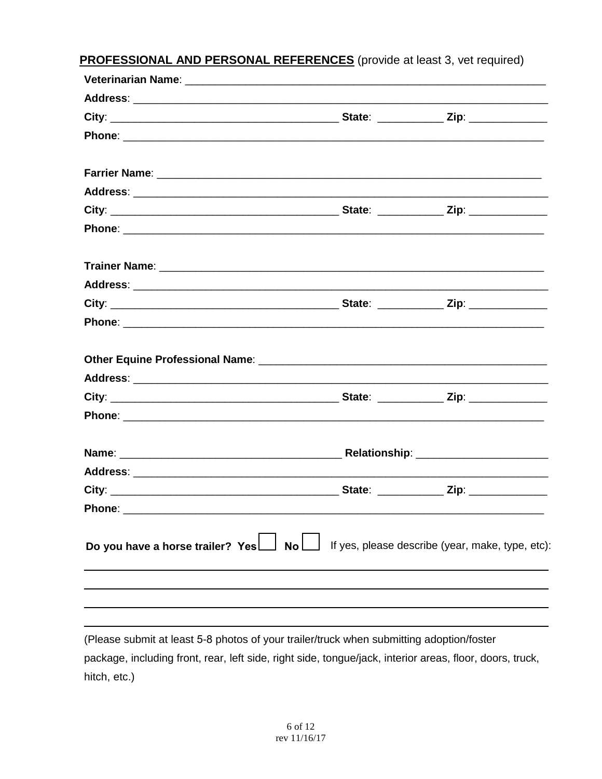PROFESSIONAL AND PERSONAL REFERENCES (provide at least 3, vet required)

|                                  | Phone: <u>Andrea Andrew American Communication</u> |                                                  |
|----------------------------------|----------------------------------------------------|--------------------------------------------------|
|                                  |                                                    |                                                  |
|                                  |                                                    |                                                  |
|                                  |                                                    |                                                  |
| <b>Phone:</b>                    |                                                    |                                                  |
| Do you have a horse trailer? Yes | $No$ $\Box$                                        | If yes, please describe (year, make, type, etc): |
|                                  |                                                    |                                                  |
|                                  |                                                    |                                                  |
|                                  |                                                    |                                                  |

(Please submit at least 5-8 photos of your trailer/truck when submitting adoption/foster package, including front, rear, left side, right side, tongue/jack, interior areas, floor, doors, truck, hitch, etc.)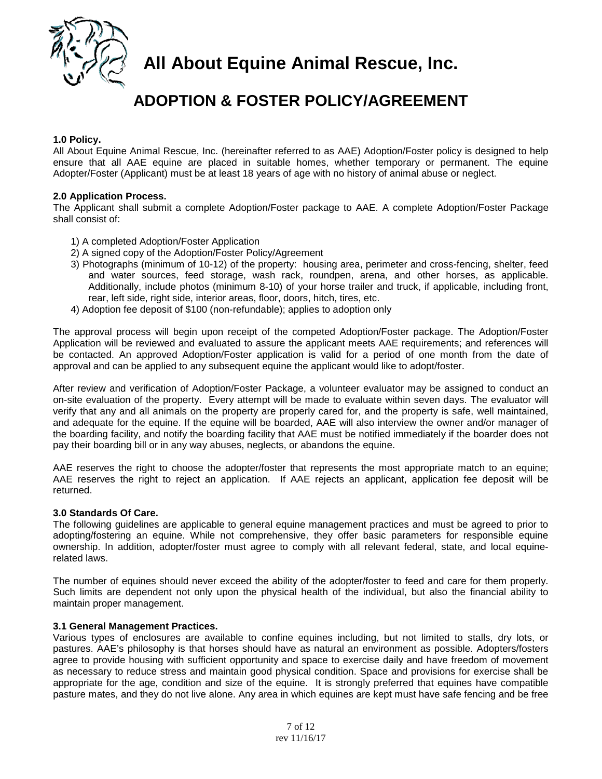

**All About Equine Animal Rescue, Inc.**

# **ADOPTION & FOSTER POLICY/AGREEMENT**

#### **1.0 Policy.**

All About Equine Animal Rescue, Inc. (hereinafter referred to as AAE) Adoption/Foster policy is designed to help ensure that all AAE equine are placed in suitable homes, whether temporary or permanent. The equine Adopter/Foster (Applicant) must be at least 18 years of age with no history of animal abuse or neglect.

#### **2.0 Application Process.**

The Applicant shall submit a complete Adoption/Foster package to AAE. A complete Adoption/Foster Package shall consist of:

- 1) A completed Adoption/Foster Application
- 2) A signed copy of the Adoption/Foster Policy/Agreement
- 3) Photographs (minimum of 10-12) of the property: housing area, perimeter and cross-fencing, shelter, feed and water sources, feed storage, wash rack, roundpen, arena, and other horses, as applicable. Additionally, include photos (minimum 8-10) of your horse trailer and truck, if applicable, including front, rear, left side, right side, interior areas, floor, doors, hitch, tires, etc.
- 4) Adoption fee deposit of \$100 (non-refundable); applies to adoption only

The approval process will begin upon receipt of the competed Adoption/Foster package. The Adoption/Foster Application will be reviewed and evaluated to assure the applicant meets AAE requirements; and references will be contacted. An approved Adoption/Foster application is valid for a period of one month from the date of approval and can be applied to any subsequent equine the applicant would like to adopt/foster.

After review and verification of Adoption/Foster Package, a volunteer evaluator may be assigned to conduct an on-site evaluation of the property. Every attempt will be made to evaluate within seven days. The evaluator will verify that any and all animals on the property are properly cared for, and the property is safe, well maintained, and adequate for the equine. If the equine will be boarded, AAE will also interview the owner and/or manager of the boarding facility, and notify the boarding facility that AAE must be notified immediately if the boarder does not pay their boarding bill or in any way abuses, neglects, or abandons the equine.

AAE reserves the right to choose the adopter/foster that represents the most appropriate match to an equine; AAE reserves the right to reject an application. If AAE rejects an applicant, application fee deposit will be returned.

#### **3.0 Standards Of Care.**

The following guidelines are applicable to general equine management practices and must be agreed to prior to adopting/fostering an equine. While not comprehensive, they offer basic parameters for responsible equine ownership. In addition, adopter/foster must agree to comply with all relevant federal, state, and local equinerelated laws.

The number of equines should never exceed the ability of the adopter/foster to feed and care for them properly. Such limits are dependent not only upon the physical health of the individual, but also the financial ability to maintain proper management.

#### **3.1 General Management Practices.**

Various types of enclosures are available to confine equines including, but not limited to stalls, dry lots, or pastures. AAE's philosophy is that horses should have as natural an environment as possible. Adopters/fosters agree to provide housing with sufficient opportunity and space to exercise daily and have freedom of movement as necessary to reduce stress and maintain good physical condition. Space and provisions for exercise shall be appropriate for the age, condition and size of the equine. It is strongly preferred that equines have compatible pasture mates, and they do not live alone. Any area in which equines are kept must have safe fencing and be free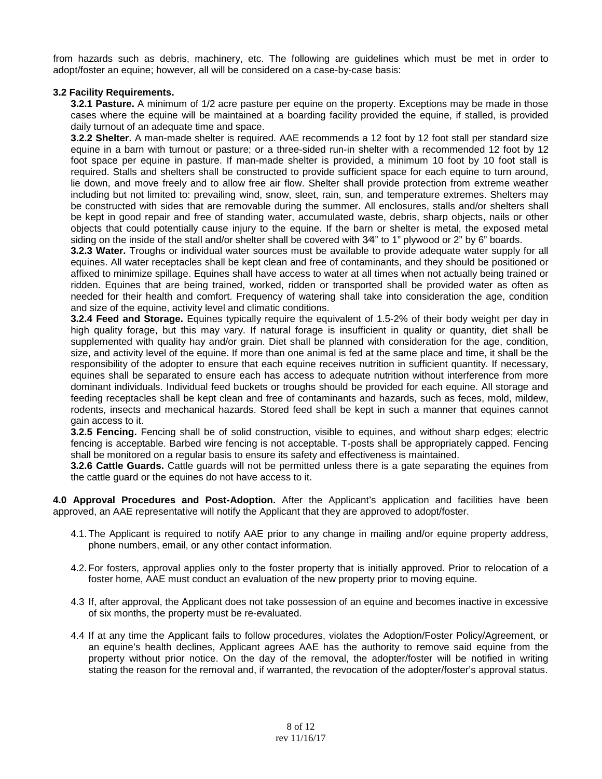from hazards such as debris, machinery, etc. The following are guidelines which must be met in order to adopt/foster an equine; however, all will be considered on a case-by-case basis:

#### **3.2 Facility Requirements.**

**3.2.1 Pasture.** A minimum of 1/2 acre pasture per equine on the property. Exceptions may be made in those cases where the equine will be maintained at a boarding facility provided the equine, if stalled, is provided daily turnout of an adequate time and space.

**3.2.2 Shelter.** A man-made shelter is required. AAE recommends a 12 foot by 12 foot stall per standard size equine in a barn with turnout or pasture; or a three-sided run-in shelter with a recommended 12 foot by 12 foot space per equine in pasture. If man-made shelter is provided, a minimum 10 foot by 10 foot stall is required. Stalls and shelters shall be constructed to provide sufficient space for each equine to turn around, lie down, and move freely and to allow free air flow. Shelter shall provide protection from extreme weather including but not limited to: prevailing wind, snow, sleet, rain, sun, and temperature extremes. Shelters may be constructed with sides that are removable during the summer. All enclosures, stalls and/or shelters shall be kept in good repair and free of standing water, accumulated waste, debris, sharp objects, nails or other objects that could potentially cause injury to the equine. If the barn or shelter is metal, the exposed metal siding on the inside of the stall and/or shelter shall be covered with 3<sup> $4$ </sup>" to 1" plywood or 2" by 6" boards.

**3.2.3 Water.** Troughs or individual water sources must be available to provide adequate water supply for all equines. All water receptacles shall be kept clean and free of contaminants, and they should be positioned or affixed to minimize spillage. Equines shall have access to water at all times when not actually being trained or ridden. Equines that are being trained, worked, ridden or transported shall be provided water as often as needed for their health and comfort. Frequency of watering shall take into consideration the age, condition and size of the equine, activity level and climatic conditions.

**3.2.4 Feed and Storage.** Equines typically require the equivalent of 1.5-2% of their body weight per day in high quality forage, but this may vary. If natural forage is insufficient in quality or quantity, diet shall be supplemented with quality hay and/or grain. Diet shall be planned with consideration for the age, condition, size, and activity level of the equine. If more than one animal is fed at the same place and time, it shall be the responsibility of the adopter to ensure that each equine receives nutrition in sufficient quantity. If necessary, equines shall be separated to ensure each has access to adequate nutrition without interference from more dominant individuals. Individual feed buckets or troughs should be provided for each equine. All storage and feeding receptacles shall be kept clean and free of contaminants and hazards, such as feces, mold, mildew, rodents, insects and mechanical hazards. Stored feed shall be kept in such a manner that equines cannot gain access to it.

**3.2.5 Fencing.** Fencing shall be of solid construction, visible to equines, and without sharp edges; electric fencing is acceptable. Barbed wire fencing is not acceptable. T-posts shall be appropriately capped. Fencing shall be monitored on a regular basis to ensure its safety and effectiveness is maintained.

**3.2.6 Cattle Guards.** Cattle guards will not be permitted unless there is a gate separating the equines from the cattle guard or the equines do not have access to it.

**4.0 Approval Procedures and Post-Adoption.** After the Applicant's application and facilities have been approved, an AAE representative will notify the Applicant that they are approved to adopt/foster.

- 4.1.The Applicant is required to notify AAE prior to any change in mailing and/or equine property address, phone numbers, email, or any other contact information.
- 4.2.For fosters, approval applies only to the foster property that is initially approved. Prior to relocation of a foster home, AAE must conduct an evaluation of the new property prior to moving equine.
- 4.3 If, after approval, the Applicant does not take possession of an equine and becomes inactive in excessive of six months, the property must be re-evaluated.
- 4.4 If at any time the Applicant fails to follow procedures, violates the Adoption/Foster Policy/Agreement, or an equine's health declines, Applicant agrees AAE has the authority to remove said equine from the property without prior notice. On the day of the removal, the adopter/foster will be notified in writing stating the reason for the removal and, if warranted, the revocation of the adopter/foster's approval status.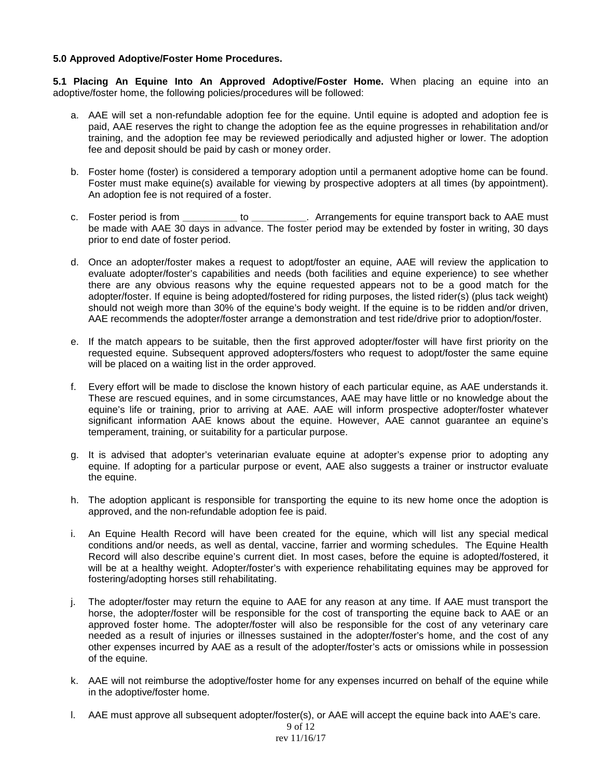#### **5.0 Approved Adoptive/Foster Home Procedures.**

**5.1 Placing An Equine Into An Approved Adoptive/Foster Home.** When placing an equine into an adoptive/foster home, the following policies/procedures will be followed:

- a. AAE will set a non-refundable adoption fee for the equine. Until equine is adopted and adoption fee is paid, AAE reserves the right to change the adoption fee as the equine progresses in rehabilitation and/or training, and the adoption fee may be reviewed periodically and adjusted higher or lower. The adoption fee and deposit should be paid by cash or money order.
- b. Foster home (foster) is considered a temporary adoption until a permanent adoptive home can be found. Foster must make equine(s) available for viewing by prospective adopters at all times (by appointment). An adoption fee is not required of a foster.
- c. Foster period is from **\_\_\_\_\_\_\_\_\_\_** to **\_\_\_\_\_\_\_\_\_\_**. Arrangements for equine transport back to AAE must be made with AAE 30 days in advance. The foster period may be extended by foster in writing, 30 days prior to end date of foster period.
- d. Once an adopter/foster makes a request to adopt/foster an equine, AAE will review the application to evaluate adopter/foster's capabilities and needs (both facilities and equine experience) to see whether there are any obvious reasons why the equine requested appears not to be a good match for the adopter/foster. If equine is being adopted/fostered for riding purposes, the listed rider(s) (plus tack weight) should not weigh more than 30% of the equine's body weight. If the equine is to be ridden and/or driven, AAE recommends the adopter/foster arrange a demonstration and test ride/drive prior to adoption/foster.
- e. If the match appears to be suitable, then the first approved adopter/foster will have first priority on the requested equine. Subsequent approved adopters/fosters who request to adopt/foster the same equine will be placed on a waiting list in the order approved.
- f. Every effort will be made to disclose the known history of each particular equine, as AAE understands it. These are rescued equines, and in some circumstances, AAE may have little or no knowledge about the equine's life or training, prior to arriving at AAE. AAE will inform prospective adopter/foster whatever significant information AAE knows about the equine. However, AAE cannot guarantee an equine's temperament, training, or suitability for a particular purpose.
- g. It is advised that adopter's veterinarian evaluate equine at adopter's expense prior to adopting any equine. If adopting for a particular purpose or event, AAE also suggests a trainer or instructor evaluate the equine.
- h. The adoption applicant is responsible for transporting the equine to its new home once the adoption is approved, and the non-refundable adoption fee is paid.
- i. An Equine Health Record will have been created for the equine, which will list any special medical conditions and/or needs, as well as dental, vaccine, farrier and worming schedules. The Equine Health Record will also describe equine's current diet. In most cases, before the equine is adopted/fostered, it will be at a healthy weight. Adopter/foster's with experience rehabilitating equines may be approved for fostering/adopting horses still rehabilitating.
- j. The adopter/foster may return the equine to AAE for any reason at any time. If AAE must transport the horse, the adopter/foster will be responsible for the cost of transporting the equine back to AAE or an approved foster home. The adopter/foster will also be responsible for the cost of any veterinary care needed as a result of injuries or illnesses sustained in the adopter/foster's home, and the cost of any other expenses incurred by AAE as a result of the adopter/foster's acts or omissions while in possession of the equine.
- k. AAE will not reimburse the adoptive/foster home for any expenses incurred on behalf of the equine while in the adoptive/foster home.
- 9 of 12 l. AAE must approve all subsequent adopter/foster(s), or AAE will accept the equine back into AAE's care.

#### rev 11/16/17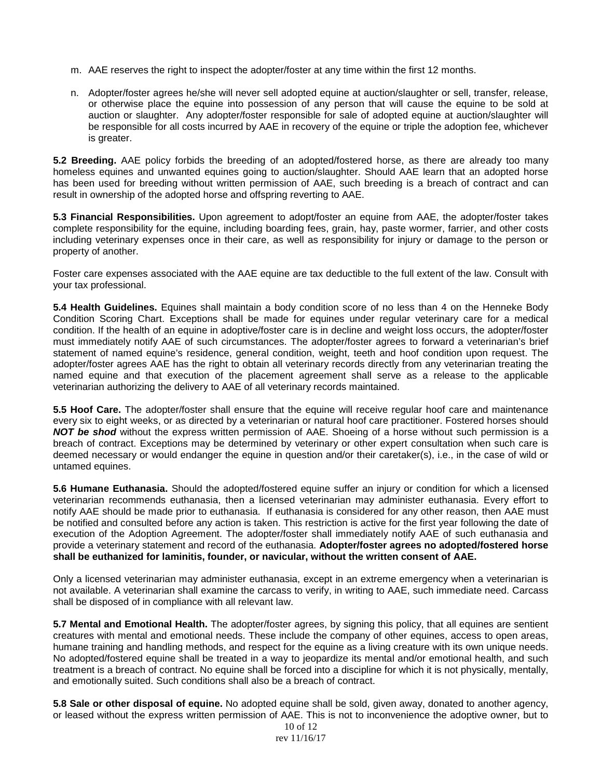- m. AAE reserves the right to inspect the adopter/foster at any time within the first 12 months.
- n. Adopter/foster agrees he/she will never sell adopted equine at auction/slaughter or sell, transfer, release, or otherwise place the equine into possession of any person that will cause the equine to be sold at auction or slaughter. Any adopter/foster responsible for sale of adopted equine at auction/slaughter will be responsible for all costs incurred by AAE in recovery of the equine or triple the adoption fee, whichever is greater.

**5.2 Breeding.** AAE policy forbids the breeding of an adopted/fostered horse, as there are already too many homeless equines and unwanted equines going to auction/slaughter. Should AAE learn that an adopted horse has been used for breeding without written permission of AAE, such breeding is a breach of contract and can result in ownership of the adopted horse and offspring reverting to AAE.

**5.3 Financial Responsibilities.** Upon agreement to adopt/foster an equine from AAE, the adopter/foster takes complete responsibility for the equine, including boarding fees, grain, hay, paste wormer, farrier, and other costs including veterinary expenses once in their care, as well as responsibility for injury or damage to the person or property of another.

Foster care expenses associated with the AAE equine are tax deductible to the full extent of the law. Consult with your tax professional.

**5.4 Health Guidelines.** Equines shall maintain a body condition score of no less than 4 on the Henneke Body Condition Scoring Chart. Exceptions shall be made for equines under regular veterinary care for a medical condition. If the health of an equine in adoptive/foster care is in decline and weight loss occurs, the adopter/foster must immediately notify AAE of such circumstances. The adopter/foster agrees to forward a veterinarian's brief statement of named equine's residence, general condition, weight, teeth and hoof condition upon request. The adopter/foster agrees AAE has the right to obtain all veterinary records directly from any veterinarian treating the named equine and that execution of the placement agreement shall serve as a release to the applicable veterinarian authorizing the delivery to AAE of all veterinary records maintained.

**5.5 Hoof Care.** The adopter/foster shall ensure that the equine will receive regular hoof care and maintenance every six to eight weeks, or as directed by a veterinarian or natural hoof care practitioner. Fostered horses should *NOT be shod* without the express written permission of AAE. Shoeing of a horse without such permission is a breach of contract. Exceptions may be determined by veterinary or other expert consultation when such care is deemed necessary or would endanger the equine in question and/or their caretaker(s), i.e., in the case of wild or untamed equines.

**5.6 Humane Euthanasia.** Should the adopted/fostered equine suffer an injury or condition for which a licensed veterinarian recommends euthanasia, then a licensed veterinarian may administer euthanasia. Every effort to notify AAE should be made prior to euthanasia. If euthanasia is considered for any other reason, then AAE must be notified and consulted before any action is taken. This restriction is active for the first year following the date of execution of the Adoption Agreement. The adopter/foster shall immediately notify AAE of such euthanasia and provide a veterinary statement and record of the euthanasia. **Adopter/foster agrees no adopted/fostered horse shall be euthanized for laminitis, founder, or navicular, without the written consent of AAE.**

Only a licensed veterinarian may administer euthanasia, except in an extreme emergency when a veterinarian is not available. A veterinarian shall examine the carcass to verify, in writing to AAE, such immediate need. Carcass shall be disposed of in compliance with all relevant law.

**5.7 Mental and Emotional Health.** The adopter/foster agrees, by signing this policy, that all equines are sentient creatures with mental and emotional needs. These include the company of other equines, access to open areas, humane training and handling methods, and respect for the equine as a living creature with its own unique needs. No adopted/fostered equine shall be treated in a way to jeopardize its mental and/or emotional health, and such treatment is a breach of contract. No equine shall be forced into a discipline for which it is not physically, mentally, and emotionally suited. Such conditions shall also be a breach of contract.

**5.8 Sale or other disposal of equine.** No adopted equine shall be sold, given away, donated to another agency, or leased without the express written permission of AAE. This is not to inconvenience the adoptive owner, but to

<sup>10</sup> of 12 rev 11/16/17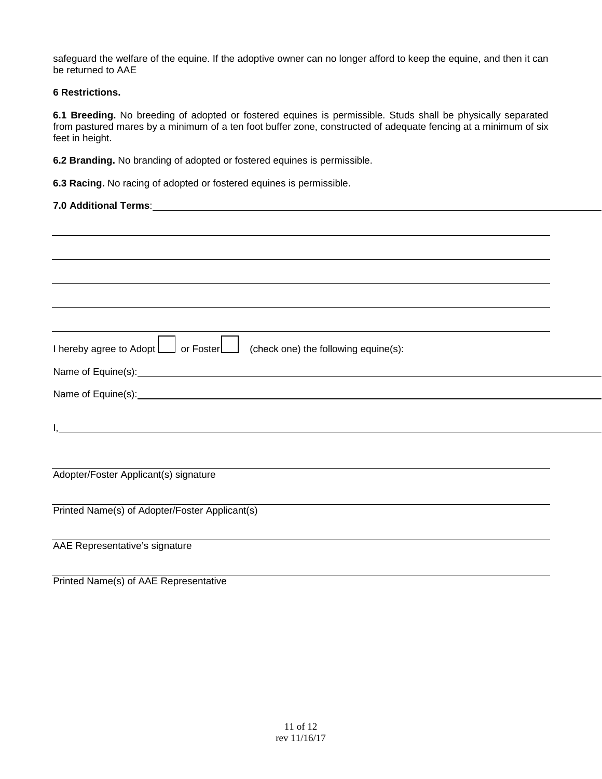safeguard the welfare of the equine. If the adoptive owner can no longer afford to keep the equine, and then it can be returned to AAE

#### **6 Restrictions.**

**6.1 Breeding.** No breeding of adopted or fostered equines is permissible. Studs shall be physically separated from pastured mares by a minimum of a ten foot buffer zone, constructed of adequate fencing at a minimum of six feet in height.

**6.2 Branding.** No branding of adopted or fostered equines is permissible.

**6.3 Racing.** No racing of adopted or fostered equines is permissible.

#### **7.0 Additional Terms**:

| I hereby agree to Adopt     or Foster     (check one) the following equine(s): |  |
|--------------------------------------------------------------------------------|--|
| Name of Equine(s): Name of Equine(s):                                          |  |
|                                                                                |  |
|                                                                                |  |
|                                                                                |  |
|                                                                                |  |
|                                                                                |  |
| Adopter/Foster Applicant(s) signature                                          |  |
|                                                                                |  |
| Printed Name(s) of Adopter/Foster Applicant(s)                                 |  |
| AAE Representative's signature                                                 |  |
|                                                                                |  |
| Printed Name(s) of AAE Representative                                          |  |